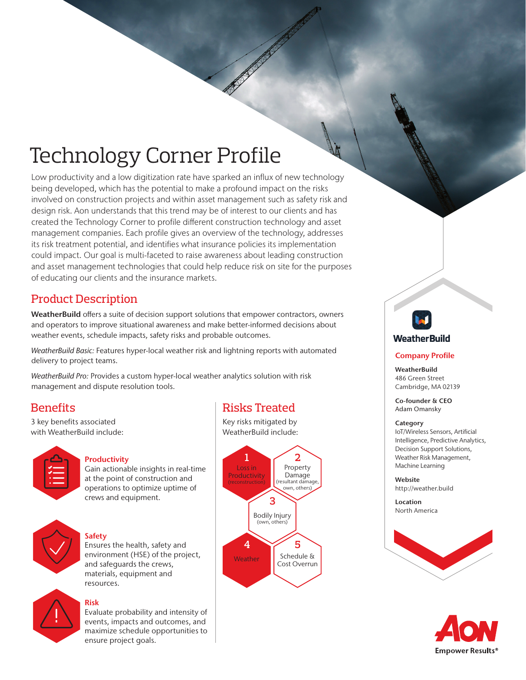# Technology Corner Profile

Low productivity and a low digitization rate have sparked an influx of new technology being developed, which has the potential to make a profound impact on the risks involved on construction projects and within asset management such as safety risk and design risk. Aon understands that this trend may be of interest to our clients and has created the Technology Corner to profile different construction technology and asset management companies. Each profile gives an overview of the technology, addresses its risk treatment potential, and identifies what insurance policies its implementation could impact. Our goal is multi-faceted to raise awareness about leading construction and asset management technologies that could help reduce risk on site for the purposes of educating our clients and the insurance markets.

# Product Description

WeatherBuild offers a suite of decision support solutions that empower contractors, owners and operators to improve situational awareness and make better-informed decisions about weather events, schedule impacts, safety risks and probable outcomes.

*WeatherBuild Basic:* Features hyper-local weather risk and lightning reports with automated delivery to project teams.

*WeatherBuild Pro:* Provides a custom hyper-local weather analytics solution with risk management and dispute resolution tools.

# **Benefits**

3 key benefits associated with WeatherBuild include:



### **Productivity**

Gain actionable insights in real-time at the point of construction and operations to optimize uptime of crews and equipment.



### Safety

Ensures the health, safety and environment (HSE) of the project, and safeguards the crews, materials, equipment and resources.



## Risk

Evaluate probability and intensity of events, impacts and outcomes, and maximize schedule opportunities to ensure project goals.

# Risks Treated

Key risks mitigated by WeatherBuild include:





### **Company Profile**

**WeatherBuild** 486 Green Street Cambridge, MA 02139

Co-founder & CEO Adam Omansky

### Category

IoT/Wireless Sensors, Artificial Intelligence, Predictive Analytics, Decision Support Solutions, Weather Risk Management, Machine Learning

Website http://weather.build

**Location** North America